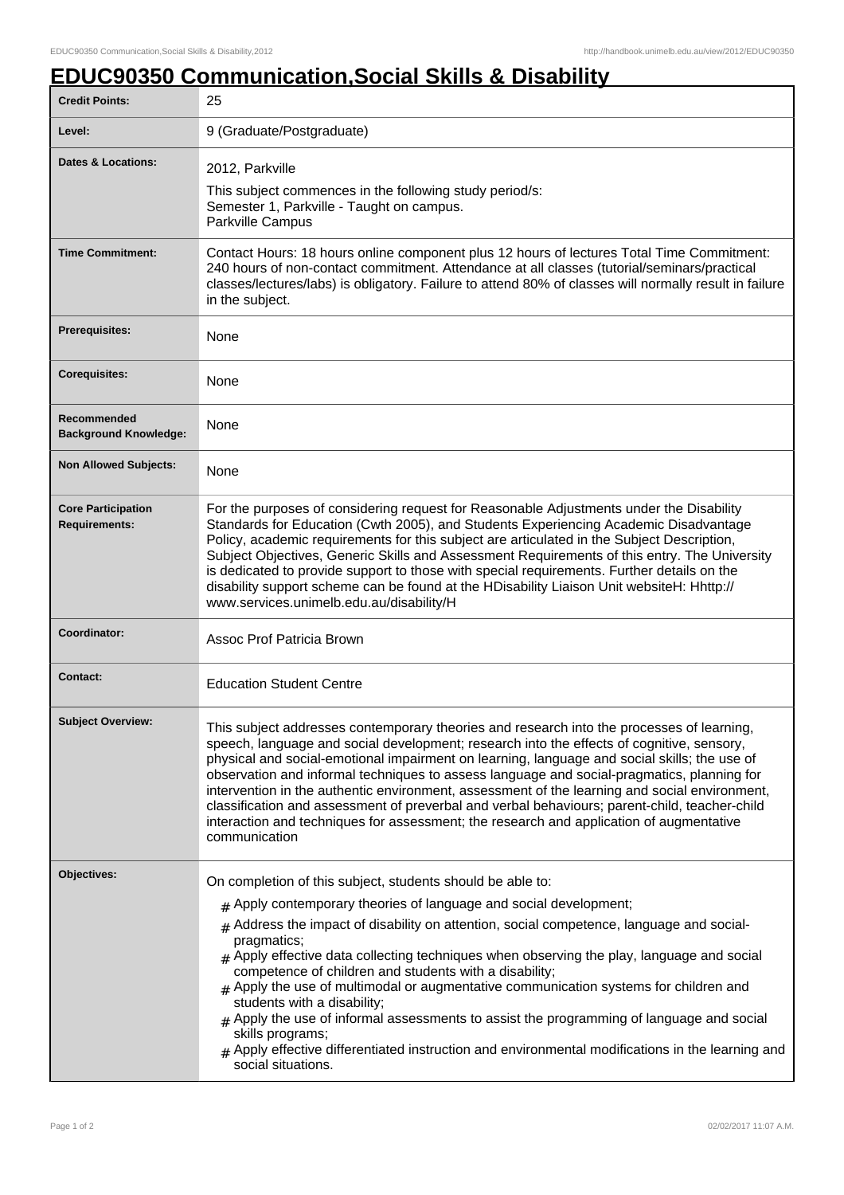## **EDUC90350 Communication,Social Skills & Disability**

| <b>Credit Points:</b>                             | 25                                                                                                                                                                                                                                                                                                                                                                                                                                                                                                                                                                                                                                                                                                                                                                                        |
|---------------------------------------------------|-------------------------------------------------------------------------------------------------------------------------------------------------------------------------------------------------------------------------------------------------------------------------------------------------------------------------------------------------------------------------------------------------------------------------------------------------------------------------------------------------------------------------------------------------------------------------------------------------------------------------------------------------------------------------------------------------------------------------------------------------------------------------------------------|
| Level:                                            | 9 (Graduate/Postgraduate)                                                                                                                                                                                                                                                                                                                                                                                                                                                                                                                                                                                                                                                                                                                                                                 |
| <b>Dates &amp; Locations:</b>                     | 2012, Parkville<br>This subject commences in the following study period/s:<br>Semester 1, Parkville - Taught on campus.<br>Parkville Campus                                                                                                                                                                                                                                                                                                                                                                                                                                                                                                                                                                                                                                               |
| <b>Time Commitment:</b>                           | Contact Hours: 18 hours online component plus 12 hours of lectures Total Time Commitment:<br>240 hours of non-contact commitment. Attendance at all classes (tutorial/seminars/practical<br>classes/lectures/labs) is obligatory. Failure to attend 80% of classes will normally result in failure<br>in the subject.                                                                                                                                                                                                                                                                                                                                                                                                                                                                     |
| <b>Prerequisites:</b>                             | None                                                                                                                                                                                                                                                                                                                                                                                                                                                                                                                                                                                                                                                                                                                                                                                      |
| <b>Corequisites:</b>                              | None                                                                                                                                                                                                                                                                                                                                                                                                                                                                                                                                                                                                                                                                                                                                                                                      |
| Recommended<br><b>Background Knowledge:</b>       | None                                                                                                                                                                                                                                                                                                                                                                                                                                                                                                                                                                                                                                                                                                                                                                                      |
| <b>Non Allowed Subjects:</b>                      | None                                                                                                                                                                                                                                                                                                                                                                                                                                                                                                                                                                                                                                                                                                                                                                                      |
| <b>Core Participation</b><br><b>Requirements:</b> | For the purposes of considering request for Reasonable Adjustments under the Disability<br>Standards for Education (Cwth 2005), and Students Experiencing Academic Disadvantage<br>Policy, academic requirements for this subject are articulated in the Subject Description,<br>Subject Objectives, Generic Skills and Assessment Requirements of this entry. The University<br>is dedicated to provide support to those with special requirements. Further details on the<br>disability support scheme can be found at the HDisability Liaison Unit websiteH: Hhttp://<br>www.services.unimelb.edu.au/disability/H                                                                                                                                                                      |
| Coordinator:                                      | Assoc Prof Patricia Brown                                                                                                                                                                                                                                                                                                                                                                                                                                                                                                                                                                                                                                                                                                                                                                 |
| <b>Contact:</b>                                   | <b>Education Student Centre</b>                                                                                                                                                                                                                                                                                                                                                                                                                                                                                                                                                                                                                                                                                                                                                           |
| <b>Subject Overview:</b>                          | This subject addresses contemporary theories and research into the processes of learning,<br>speech, language and social development; research into the effects of cognitive, sensory,<br>physical and social-emotional impairment on learning, language and social skills; the use of<br>observation and informal techniques to assess language and social-pragmatics, planning for<br>intervention in the authentic environment, assessment of the learning and social environment,<br>classification and assessment of preverbal and verbal behaviours; parent-child, teacher-child<br>interaction and techniques for assessment; the research and application of augmentative<br>communication                                                                                        |
| Objectives:                                       | On completion of this subject, students should be able to:<br>$#$ Apply contemporary theories of language and social development;<br>$#$ Address the impact of disability on attention, social competence, language and social-<br>pragmatics;<br>$#$ Apply effective data collecting techniques when observing the play, language and social<br>competence of children and students with a disability;<br>$#$ Apply the use of multimodal or augmentative communication systems for children and<br>students with a disability;<br>$#$ Apply the use of informal assessments to assist the programming of language and social<br>skills programs;<br>$_{\text{\#}}$ Apply effective differentiated instruction and environmental modifications in the learning and<br>social situations. |